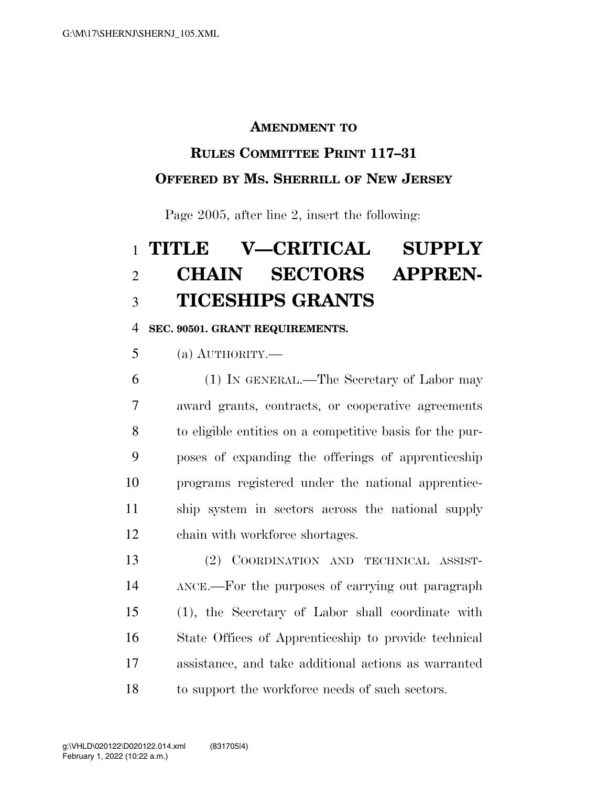### **AMENDMENT TO**

### **RULES COMMITTEE PRINT 117–31**

## **OFFERED BY MS. SHERRILL OF NEW JERSEY**

Page 2005, after line 2, insert the following:

# **TITLE V—CRITICAL SUPPLY CHAIN SECTORS APPREN-TICESHIPS GRANTS**

#### **SEC. 90501. GRANT REQUIREMENTS.**

(a) AUTHORITY.—

 (1) IN GENERAL.—The Secretary of Labor may award grants, contracts, or cooperative agreements to eligible entities on a competitive basis for the pur- poses of expanding the offerings of apprenticeship programs registered under the national apprentice- ship system in sectors across the national supply chain with workforce shortages.

 (2) COORDINATION AND TECHNICAL ASSIST- ANCE.—For the purposes of carrying out paragraph (1), the Secretary of Labor shall coordinate with State Offices of Apprenticeship to provide technical assistance, and take additional actions as warranted 18 to support the workforce needs of such sectors.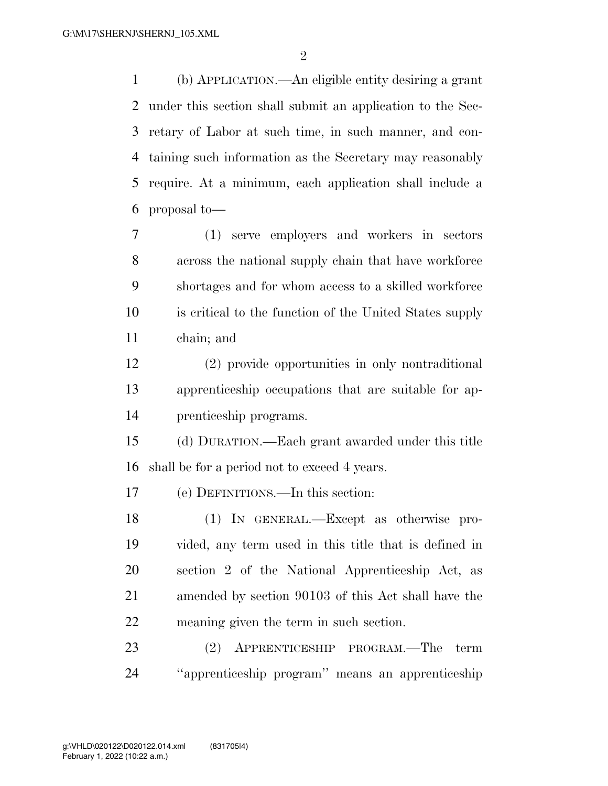(b) APPLICATION.—An eligible entity desiring a grant under this section shall submit an application to the Sec- retary of Labor at such time, in such manner, and con- taining such information as the Secretary may reasonably require. At a minimum, each application shall include a proposal to—

- (1) serve employers and workers in sectors across the national supply chain that have workforce shortages and for whom access to a skilled workforce is critical to the function of the United States supply chain; and
- (2) provide opportunities in only nontraditional apprenticeship occupations that are suitable for ap-prenticeship programs.
- (d) DURATION.—Each grant awarded under this title shall be for a period not to exceed 4 years.

(e) DEFINITIONS.—In this section:

 (1) IN GENERAL.—Except as otherwise pro- vided, any term used in this title that is defined in section 2 of the National Apprenticeship Act, as amended by section 90103 of this Act shall have the meaning given the term in such section.

 (2) APPRENTICESHIP PROGRAM.—The term ''apprenticeship program'' means an apprenticeship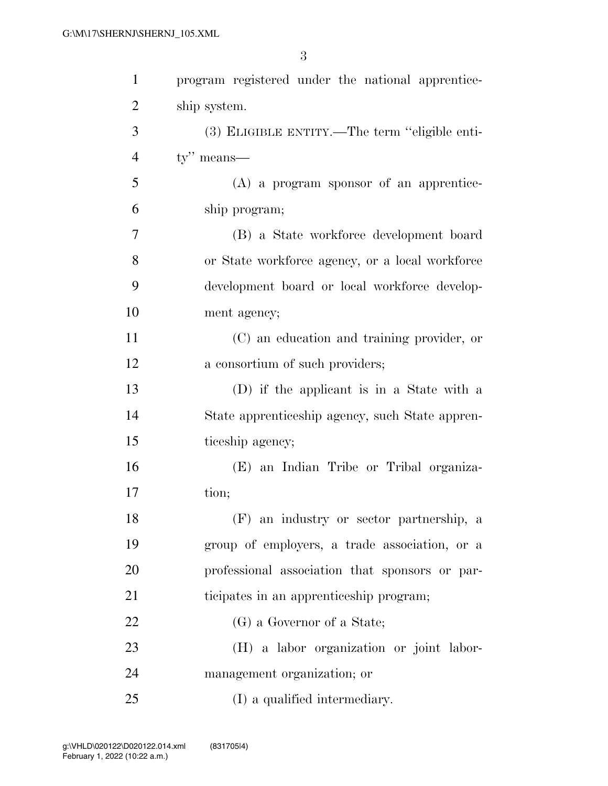| $\mathbf{1}$   | program registered under the national apprentice- |
|----------------|---------------------------------------------------|
| $\overline{2}$ | ship system.                                      |
| 3              | (3) ELIGIBLE ENTITY.—The term "eligible enti-     |
| $\overline{4}$ | $ty''$ means—                                     |
| 5              | $(A)$ a program sponsor of an apprentice-         |
| 6              | ship program;                                     |
| 7              | (B) a State workforce development board           |
| 8              | or State workforce agency, or a local workforce   |
| 9              | development board or local workforce develop-     |
| 10             | ment agency;                                      |
| 11             | (C) an education and training provider, or        |
| 12             | a consortium of such providers;                   |
| 13             | (D) if the applicant is in a State with a         |
| 14             | State apprenticeship agency, such State appren-   |
| 15             | ticeship agency;                                  |
| 16             | (E) an Indian Tribe or Tribal organiza-           |
| 17             | tion;                                             |
| 18             | (F) an industry or sector partnership, a          |
| 19             | group of employers, a trade association, or a     |
| 20             | professional association that sponsors or par-    |
| 21             | ticipates in an apprenticeship program;           |
| 22             | (G) a Governor of a State;                        |
| 23             | (H) a labor organization or joint labor-          |
| 24             | management organization; or                       |
| 25             | (I) a qualified intermediary.                     |